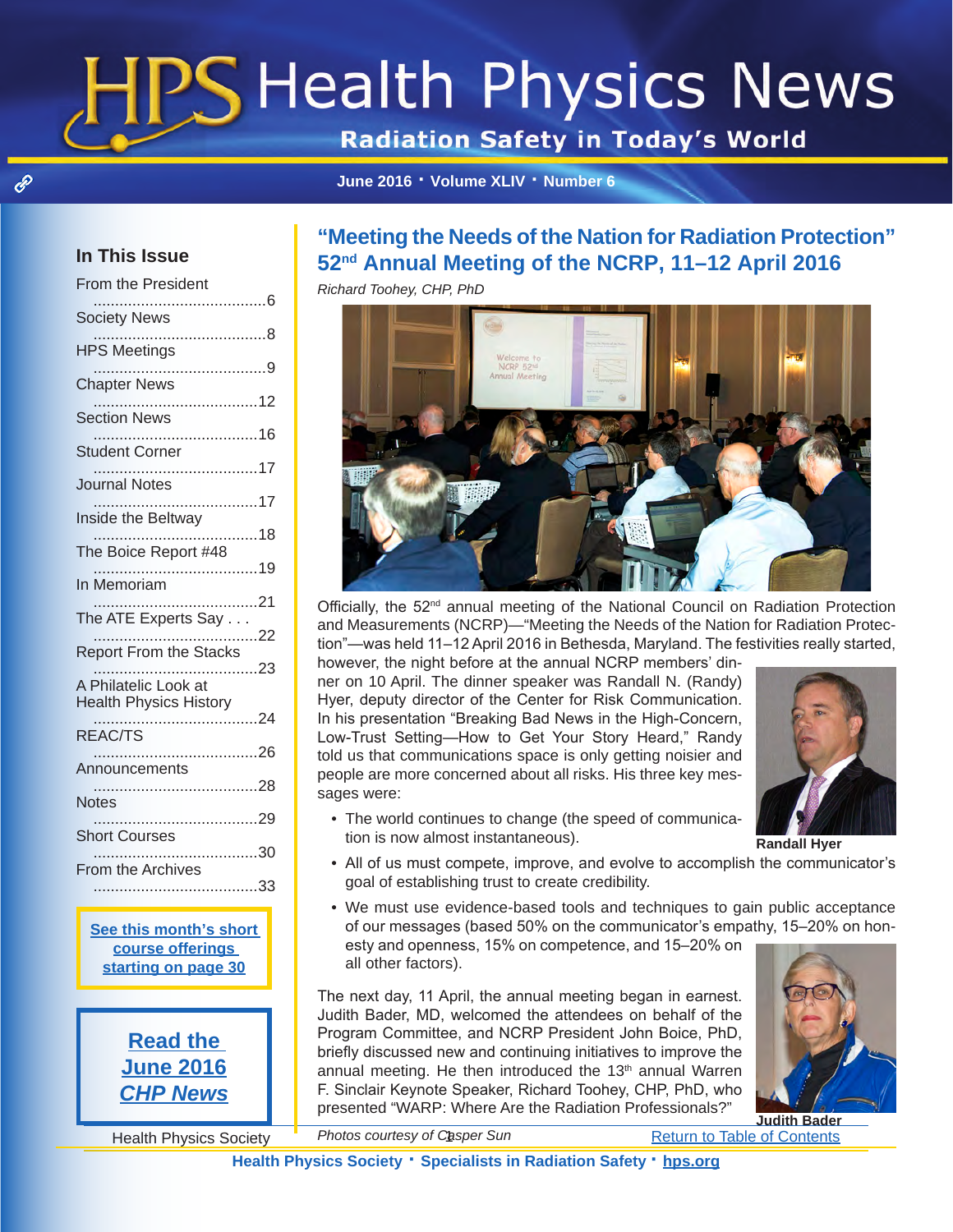# **Health Physics News**

**Radiation Safety in Today's World** 

**[June 2016 · Volume XLIV · Number 6](http://hps.org)**

## <span id="page-0-0"></span>**In This Issue**

 $\mathscr{E}$ 

| From the President                    |  |
|---------------------------------------|--|
| <b>Society News</b>                   |  |
| v><br>8                               |  |
| <b>HPS Meetings</b><br>9              |  |
| <b>Chapter News</b>                   |  |
| <b>Section News</b>                   |  |
| <b>Student Corner</b>                 |  |
| <b>Journal Notes</b>                  |  |
|                                       |  |
| Inside the Beltway                    |  |
| The Boice Report #48                  |  |
| In Memoriam                           |  |
| The ATE Experts Say<br>$\frac{1}{22}$ |  |
| <b>Report From the Stacks</b>         |  |
| 23<br>A Philatelic Look at            |  |
| <b>Health Physics History</b>         |  |
| REAC/TS                               |  |
| । ಎ<br>26                             |  |
| <b>Notes</b>                          |  |
| 29                                    |  |
| <b>Short Courses</b><br>30            |  |
|                                       |  |
|                                       |  |

**[See this month's short](#page--1-15)  [course offerings](#page--1-15)  [starting on page 3](#page--1-15)0**

> **Read the June 2016** *CHP News*

# **"Meeting the Needs of the Nation for Radiation Protection" 52nd Annual Meeting of the NCRP, 11–12 April 2016**

*Richard Toohey, CHP, PhD*



Officially, the 52<sup>nd</sup> annual meeting of the National Council on Radiation Protection and Measurements (NCRP)—"Meeting the Needs of the Nation for Radiation Protection"—was held 11–12 April 2016 in Bethesda, Maryland. The festivities really started,

however, the night before at the annual NCRP members' dinner on 10 April. The dinner speaker was Randall N. (Randy) Hyer, deputy director of the Center for Risk Communication. In his presentation "Breaking Bad News in the High-Concern, Low-Trust Setting—How to Get Your Story Heard," Randy told us that communications space is only getting noisier and people are more concerned about all risks. His three key messages were:

• The world continues to change (the speed of communica-



**Randall Hyer**

- tion is now almost instantaneous). • All of us must compete, improve, and evolve to accomplish the communicator's goal of establishing trust to create credibility.
- We must use evidence-based tools and techniques to gain public acceptance of our messages (based 50% on the communicator's empathy, 15–20% on honesty and openness, 15% on competence, and 15–20% on

all other factors). The next day, 11 April, the annual meeting began in earnest.

Judith Bader, MD, welcomed the attendees on behalf of the Program Committee, and NCRP President John Boice, PhD, briefly discussed new and continuing initiatives to improve the annual meeting. He then introduced the 13<sup>th</sup> annual Warren F. Sinclair Keynote Speaker, Richard Toohey, CHP, PhD, who presented "WARP: Where Are the Radiation Professionals?"



**Judith Bader**

Health Physics Society <sup>"</sup> Photos courtesy of Casper Sun The Return to Table of Contents *Photos courtesy of Casper Sun*

**Health Physics Society · Specialists in Radiation Safety · [hps.org](http://hps.org)**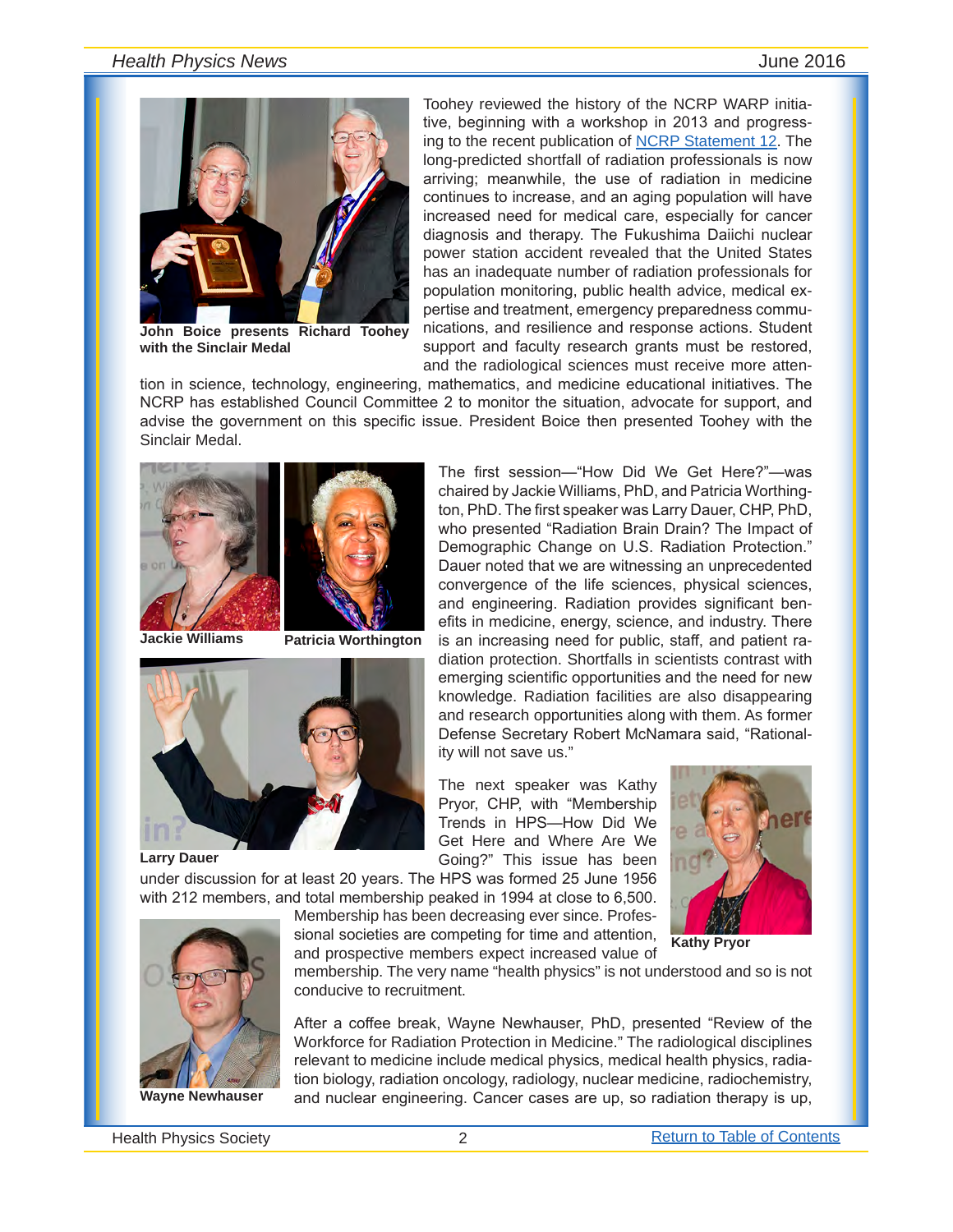

**John Boice presents Richard Toohey with the Sinclair Medal**

Toohey reviewed the history of the NCRP WARP initiative, beginning with a workshop in 2013 and progressing to the recent publication of **NCRP** Statement 12. The long-predicted shortfall of radiation professionals is now arriving; meanwhile, the use of radiation in medicine continues to increase, and an aging population will have increased need for medical care, especially for cancer diagnosis and therapy. The Fukushima Daiichi nuclear power station accident revealed that the United States has an inadequate number of radiation professionals for population monitoring, public health advice, medical expertise and treatment, emergency preparedness communications, and resilience and response actions. Student support and faculty research grants must be restored, and the radiological sciences must receive more atten-

The first session—"How Did We Get Here?"—was chaired by Jackie Williams, PhD, and Patricia Worthington, PhD. The first speaker was Larry Dauer, CHP, PhD, who presented "Radiation Brain Drain? The Impact of Demographic Change on U.S. Radiation Protection." Dauer noted that we are witnessing an unprecedented convergence of the life sciences, physical sciences, and engineering. Radiation provides significant benefits in medicine, energy, science, and industry. There is an increasing need for public, staff, and patient ra-

tion in science, technology, engineering, mathematics, and medicine educational initiatives. The NCRP has established Council Committee 2 to monitor the situation, advocate for support, and advise the government on this specific issue. President Boice then presented Toohey with the Sinclair Medal.





**Jackie Williams Patricia Worthington**



**Larry Dauer**

diation protection. Shortfalls in scientists contrast with emerging scientific opportunities and the need for new knowledge. Radiation facilities are also disappearing and research opportunities along with them. As former Defense Secretary Robert McNamara said, "Rationality will not save us." The next speaker was Kathy Pryor, CHP, with "Membership

Trends in HPS—How Did We Get Here and Where Are We Going?" This issue has been



under discussion for at least 20 years. The HPS was formed 25 June 1956 with 212 members, and total membership peaked in 1994 at close to 6,500.

Membership has been decreasing ever since. Professional societies are competing for time and attention, and prospective members expect increased value of



membership. The very name "health physics" is not understood and so is not conducive to recruitment.

After a coffee break, Wayne Newhauser, PhD, presented "Review of the Workforce for Radiation Protection in Medicine." The radiological disciplines relevant to medicine include medical physics, medical health physics, radiation biology, radiation oncology, radiology, nuclear medicine, radiochemistry, and nuclear engineering. Cancer cases are up, so radiation therapy is up,



**Wayne Newhauser**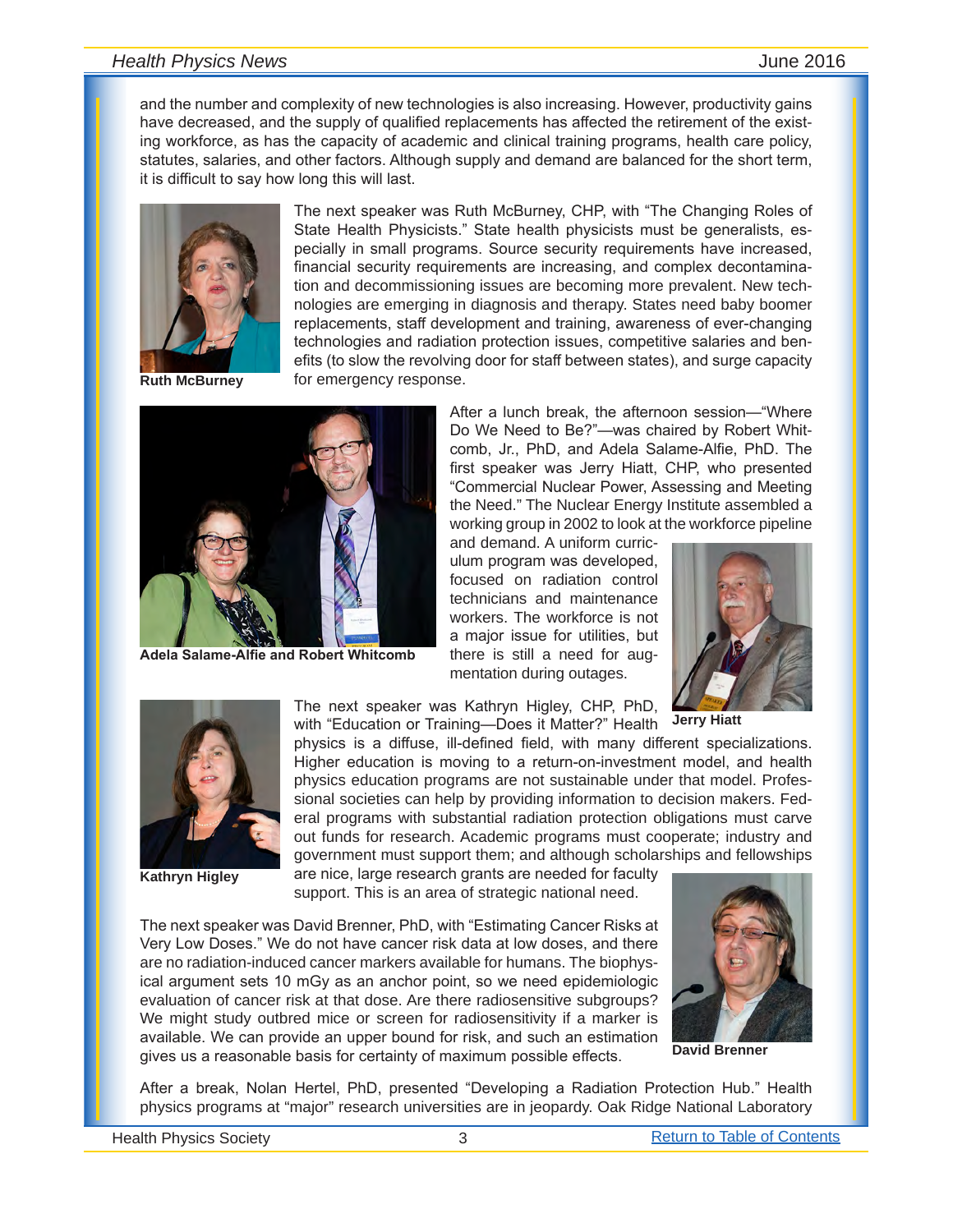and the number and complexity of new technologies is also increasing. However, productivity gains have decreased, and the supply of qualified replacements has affected the retirement of the existing workforce, as has the capacity of academic and clinical training programs, health care policy, statutes, salaries, and other factors. Although supply and demand are balanced for the short term, it is difficult to say how long this will last.



**Ruth McBurney**

The next speaker was Ruth McBurney, CHP, with "The Changing Roles of State Health Physicists." State health physicists must be generalists, especially in small programs. Source security requirements have increased, financial security requirements are increasing, and complex decontamination and decommissioning issues are becoming more prevalent. New technologies are emerging in diagnosis and therapy. States need baby boomer replacements, staff development and training, awareness of ever-changing technologies and radiation protection issues, competitive salaries and benefits (to slow the revolving door for staff between states), and surge capacity for emergency response.



**Adela Salame-Alfie and Robert Whitcomb**

After a lunch break, the afternoon session—"Where Do We Need to Be?"—was chaired by Robert Whitcomb, Jr., PhD, and Adela Salame-Alfie, PhD. The first speaker was Jerry Hiatt, CHP, who presented "Commercial Nuclear Power, Assessing and Meeting the Need." The Nuclear Energy Institute assembled a working group in 2002 to look at the workforce pipeline

and demand. A uniform curriculum program was developed, focused on radiation control technicians and maintenance workers. The workforce is not a major issue for utilities, but there is still a need for augmentation during outages.







**Kathryn Higley**

The next speaker was Kathryn Higley, CHP, PhD, with "Education or Training—Does it Matter?" Health

physics is a diffuse, ill-defined field, with many different specializations. Higher education is moving to a return-on-investment model, and health physics education programs are not sustainable under that model. Professional societies can help by providing information to decision makers. Federal programs with substantial radiation protection obligations must carve out funds for research. Academic programs must cooperate; industry and government must support them; and although scholarships and fellowships

are nice, large research grants are needed for faculty support. This is an area of strategic national need.

The next speaker was David Brenner, PhD, with "Estimating Cancer Risks at Very Low Doses." We do not have cancer risk data at low doses, and there are no radiation-induced cancer markers available for humans. The biophysical argument sets 10 mGy as an anchor point, so we need epidemiologic evaluation of cancer risk at that dose. Are there radiosensitive subgroups? We might study outbred mice or screen for radiosensitivity if a marker is available. We can provide an upper bound for risk, and such an estimation gives us a reasonable basis for certainty of maximum possible effects.



**David Brenner**

After a break, Nolan Hertel, PhD, presented "Developing a Radiation Protection Hub." Health physics programs at "major" research universities are in jeopardy. Oak Ridge National Laboratory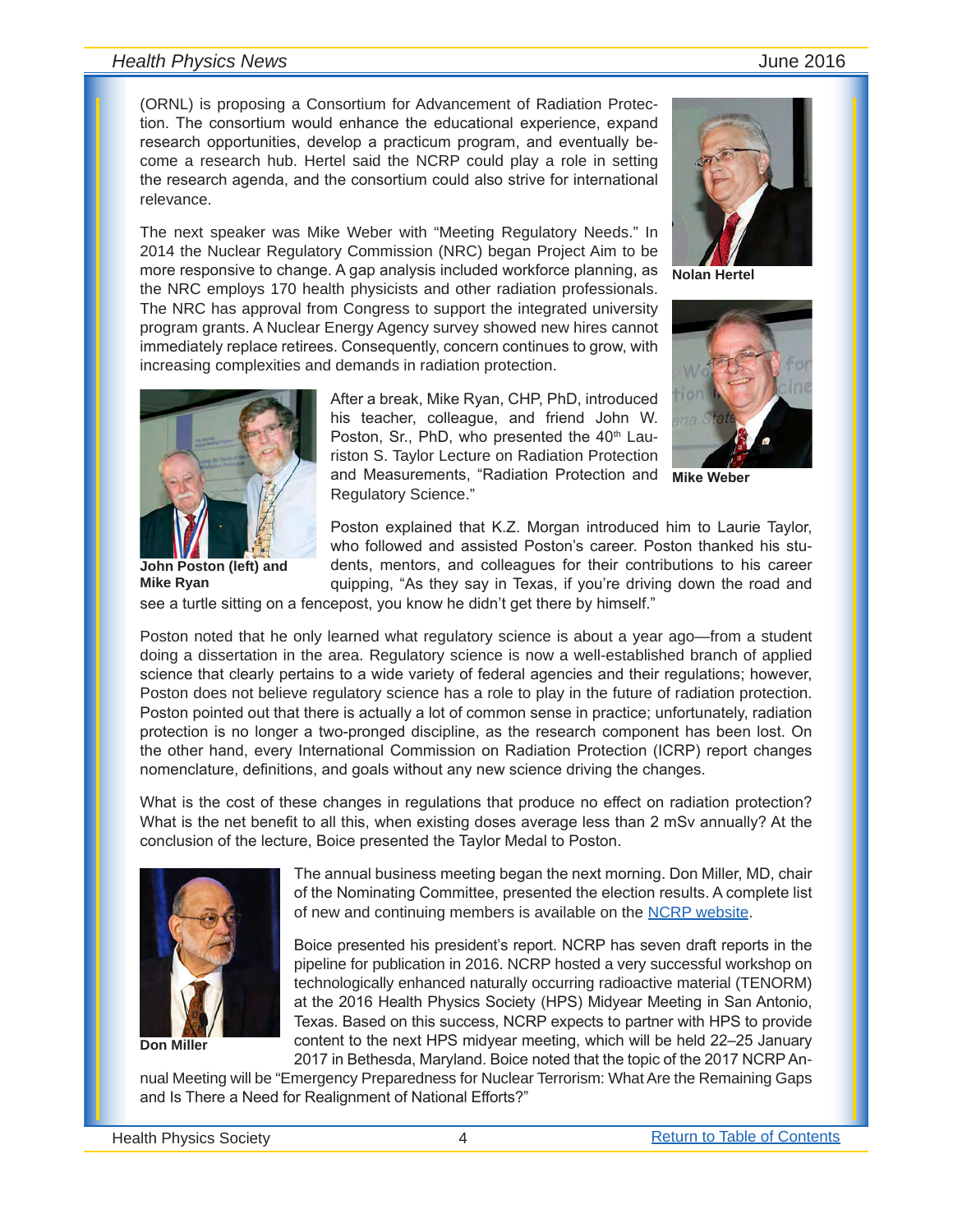(ORNL) is proposing a Consortium for Advancement of Radiation Protection. The consortium would enhance the educational experience, expand research opportunities, develop a practicum program, and eventually become a research hub. Hertel said the NCRP could play a role in setting the research agenda, and the consortium could also strive for international relevance.

The next speaker was Mike Weber with "Meeting Regulatory Needs." In 2014 the Nuclear Regulatory Commission (NRC) began Project Aim to be more responsive to change. A gap analysis included workforce planning, as the NRC employs 170 health physicists and other radiation professionals. The NRC has approval from Congress to support the integrated university program grants. A Nuclear Energy Agency survey showed new hires cannot immediately replace retirees. Consequently, concern continues to grow, with increasing complexities and demands in radiation protection.



**Nolan Hertel**



**Mike Weber**



**John Poston (left) and Mike Ryan**

After a break, Mike Ryan, CHP, PhD, introduced his teacher, colleague, and friend John W. Poston, Sr., PhD, who presented the 40<sup>th</sup> Lauriston S. Taylor Lecture on Radiation Protection and Measurements, "Radiation Protection and Regulatory Science."

Poston explained that K.Z. Morgan introduced him to Laurie Taylor, who followed and assisted Poston's career. Poston thanked his students, mentors, and colleagues for their contributions to his career quipping, "As they say in Texas, if you're driving down the road and

see a turtle sitting on a fencepost, you know he didn't get there by himself."

Poston noted that he only learned what regulatory science is about a year ago—from a student doing a dissertation in the area. Regulatory science is now a well-established branch of applied science that clearly pertains to a wide variety of federal agencies and their regulations; however, Poston does not believe regulatory science has a role to play in the future of radiation protection. Poston pointed out that there is actually a lot of common sense in practice; unfortunately, radiation protection is no longer a two-pronged discipline, as the research component has been lost. On the other hand, every International Commission on Radiation Protection (ICRP) report changes nomenclature, definitions, and goals without any new science driving the changes.

What is the cost of these changes in regulations that produce no effect on radiation protection? What is the net benefit to all this, when existing doses average less than 2 mSv annually? At the conclusion of the lecture, Boice presented the Taylor Medal to Poston.



**Don Miller**

The annual business meeting began the next morning. Don Miller, MD, chair of the Nominating Committee, presented the election results. A complete list of new and continuing members is available on the [NCRP website](http://ncrponline.org/Press_Rel/2016/2016_election_results.pdf).

Boice presented his president's report. NCRP has seven draft reports in the pipeline for publication in 2016. NCRP hosted a very successful workshop on technologically enhanced naturally occurring radioactive material (TENORM) at the 2016 Health Physics Society (HPS) Midyear Meeting in San Antonio, Texas. Based on this success, NCRP expects to partner with HPS to provide content to the next HPS midyear meeting, which will be held 22–25 January 2017 in Bethesda, Maryland. Boice noted that the topic of the 2017 NCRP An-

nual Meeting will be "Emergency Preparedness for Nuclear Terrorism: What Are the Remaining Gaps and Is There a Need for Realignment of National Efforts?"